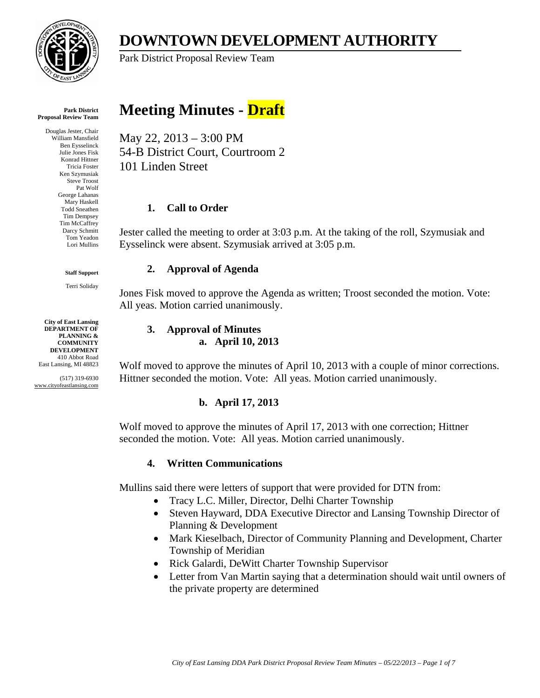

## **DOWNTOWN DEVELOPMENT AUTHORITY**  Park District Proposal Review Team

#### **Park District Proposal Review Team**

Douglas Jester, Chair William Mansfield Ben Eysselinck Julie Jones Fisk Konrad Hittner Tricia Foster Ken Szymusiak Steve Troost Pat Wolf George Lahanas Mary Haskell Todd Sneathen Tim Dempsey Tim McCaffrey Darcy Schmitt Tom Yeadon Lori Mullins

#### **Staff Support**

Terri Soliday

**City of East Lansing DEPARTMENT OF PLANNING & COMMUNITY DEVELOPMENT** 410 Abbot Road East Lansing, MI 48823

(517) 319-6930 www.cityofeastlansing.com

# **Meeting Minutes - Draft**

May 22, 2013 – 3:00 PM 54-B District Court, Courtroom 2 101 Linden Street

### **1. Call to Order**

Jester called the meeting to order at 3:03 p.m. At the taking of the roll, Szymusiak and Eysselinck were absent. Szymusiak arrived at 3:05 p.m.

### **2. Approval of Agenda**

Jones Fisk moved to approve the Agenda as written; Troost seconded the motion. Vote: All yeas. Motion carried unanimously.

#### **3. Approval of Minutes a. April 10, 2013**

Wolf moved to approve the minutes of April 10, 2013 with a couple of minor corrections. Hittner seconded the motion. Vote: All yeas. Motion carried unanimously.

### **b. April 17, 2013**

Wolf moved to approve the minutes of April 17, 2013 with one correction; Hittner seconded the motion. Vote: All yeas. Motion carried unanimously.

### **4. Written Communications**

Mullins said there were letters of support that were provided for DTN from:

- Tracy L.C. Miller, Director, Delhi Charter Township
- Steven Hayward, DDA Executive Director and Lansing Township Director of Planning & Development
- Mark Kieselbach, Director of Community Planning and Development, Charter Township of Meridian
- Rick Galardi, DeWitt Charter Township Supervisor
- Letter from Van Martin saying that a determination should wait until owners of the private property are determined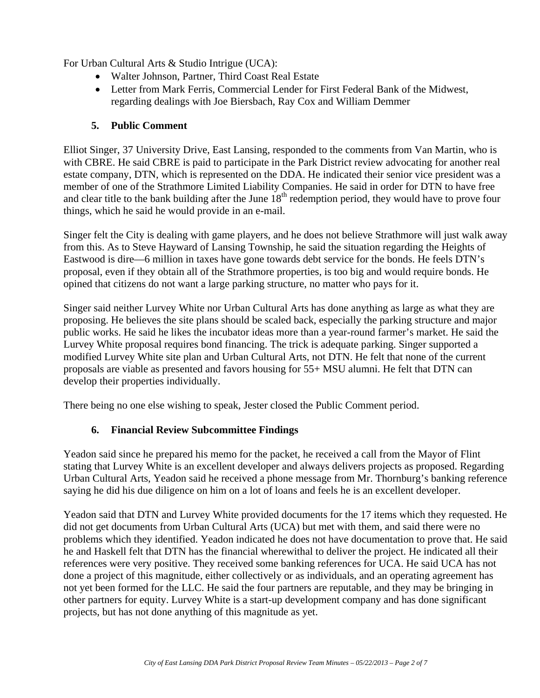For Urban Cultural Arts & Studio Intrigue (UCA):

- Walter Johnson, Partner, Third Coast Real Estate
- Letter from Mark Ferris, Commercial Lender for First Federal Bank of the Midwest, regarding dealings with Joe Biersbach, Ray Cox and William Demmer

#### **5. Public Comment**

Elliot Singer, 37 University Drive, East Lansing, responded to the comments from Van Martin, who is with CBRE. He said CBRE is paid to participate in the Park District review advocating for another real estate company, DTN, which is represented on the DDA. He indicated their senior vice president was a member of one of the Strathmore Limited Liability Companies. He said in order for DTN to have free and clear title to the bank building after the June  $18<sup>th</sup>$  redemption period, they would have to prove four things, which he said he would provide in an e-mail.

Singer felt the City is dealing with game players, and he does not believe Strathmore will just walk away from this. As to Steve Hayward of Lansing Township, he said the situation regarding the Heights of Eastwood is dire—6 million in taxes have gone towards debt service for the bonds. He feels DTN's proposal, even if they obtain all of the Strathmore properties, is too big and would require bonds. He opined that citizens do not want a large parking structure, no matter who pays for it.

Singer said neither Lurvey White nor Urban Cultural Arts has done anything as large as what they are proposing. He believes the site plans should be scaled back, especially the parking structure and major public works. He said he likes the incubator ideas more than a year-round farmer's market. He said the Lurvey White proposal requires bond financing. The trick is adequate parking. Singer supported a modified Lurvey White site plan and Urban Cultural Arts, not DTN. He felt that none of the current proposals are viable as presented and favors housing for 55+ MSU alumni. He felt that DTN can develop their properties individually.

There being no one else wishing to speak, Jester closed the Public Comment period.

#### **6. Financial Review Subcommittee Findings**

Yeadon said since he prepared his memo for the packet, he received a call from the Mayor of Flint stating that Lurvey White is an excellent developer and always delivers projects as proposed. Regarding Urban Cultural Arts, Yeadon said he received a phone message from Mr. Thornburg's banking reference saying he did his due diligence on him on a lot of loans and feels he is an excellent developer.

Yeadon said that DTN and Lurvey White provided documents for the 17 items which they requested. He did not get documents from Urban Cultural Arts (UCA) but met with them, and said there were no problems which they identified. Yeadon indicated he does not have documentation to prove that. He said he and Haskell felt that DTN has the financial wherewithal to deliver the project. He indicated all their references were very positive. They received some banking references for UCA. He said UCA has not done a project of this magnitude, either collectively or as individuals, and an operating agreement has not yet been formed for the LLC. He said the four partners are reputable, and they may be bringing in other partners for equity. Lurvey White is a start-up development company and has done significant projects, but has not done anything of this magnitude as yet.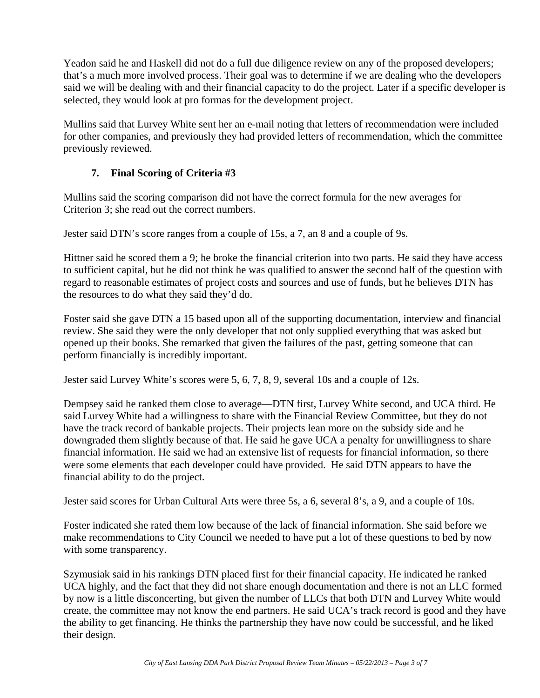Yeadon said he and Haskell did not do a full due diligence review on any of the proposed developers; that's a much more involved process. Their goal was to determine if we are dealing who the developers said we will be dealing with and their financial capacity to do the project. Later if a specific developer is selected, they would look at pro formas for the development project.

Mullins said that Lurvey White sent her an e-mail noting that letters of recommendation were included for other companies, and previously they had provided letters of recommendation, which the committee previously reviewed.

### **7. Final Scoring of Criteria #3**

Mullins said the scoring comparison did not have the correct formula for the new averages for Criterion 3; she read out the correct numbers.

Jester said DTN's score ranges from a couple of 15s, a 7, an 8 and a couple of 9s.

Hittner said he scored them a 9; he broke the financial criterion into two parts. He said they have access to sufficient capital, but he did not think he was qualified to answer the second half of the question with regard to reasonable estimates of project costs and sources and use of funds, but he believes DTN has the resources to do what they said they'd do.

Foster said she gave DTN a 15 based upon all of the supporting documentation, interview and financial review. She said they were the only developer that not only supplied everything that was asked but opened up their books. She remarked that given the failures of the past, getting someone that can perform financially is incredibly important.

Jester said Lurvey White's scores were 5, 6, 7, 8, 9, several 10s and a couple of 12s.

Dempsey said he ranked them close to average—DTN first, Lurvey White second, and UCA third. He said Lurvey White had a willingness to share with the Financial Review Committee, but they do not have the track record of bankable projects. Their projects lean more on the subsidy side and he downgraded them slightly because of that. He said he gave UCA a penalty for unwillingness to share financial information. He said we had an extensive list of requests for financial information, so there were some elements that each developer could have provided. He said DTN appears to have the financial ability to do the project.

Jester said scores for Urban Cultural Arts were three 5s, a 6, several 8's, a 9, and a couple of 10s.

Foster indicated she rated them low because of the lack of financial information. She said before we make recommendations to City Council we needed to have put a lot of these questions to bed by now with some transparency.

Szymusiak said in his rankings DTN placed first for their financial capacity. He indicated he ranked UCA highly, and the fact that they did not share enough documentation and there is not an LLC formed by now is a little disconcerting, but given the number of LLCs that both DTN and Lurvey White would create, the committee may not know the end partners. He said UCA's track record is good and they have the ability to get financing. He thinks the partnership they have now could be successful, and he liked their design.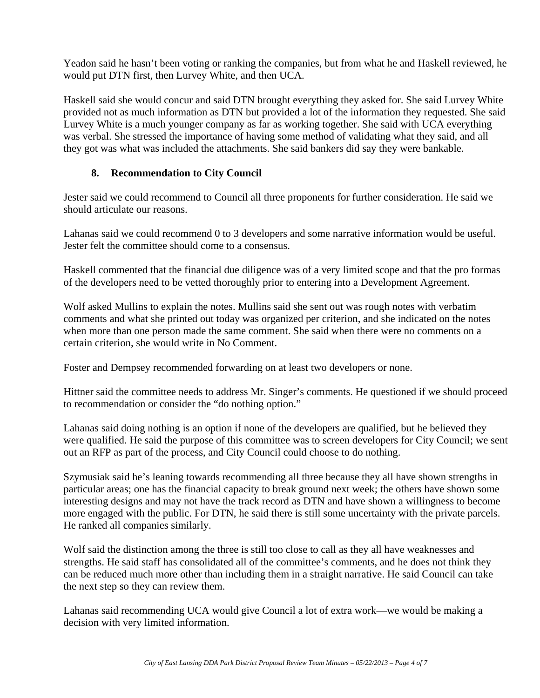Yeadon said he hasn't been voting or ranking the companies, but from what he and Haskell reviewed, he would put DTN first, then Lurvey White, and then UCA.

Haskell said she would concur and said DTN brought everything they asked for. She said Lurvey White provided not as much information as DTN but provided a lot of the information they requested. She said Lurvey White is a much younger company as far as working together. She said with UCA everything was verbal. She stressed the importance of having some method of validating what they said, and all they got was what was included the attachments. She said bankers did say they were bankable.

#### **8. Recommendation to City Council**

Jester said we could recommend to Council all three proponents for further consideration. He said we should articulate our reasons.

Lahanas said we could recommend 0 to 3 developers and some narrative information would be useful. Jester felt the committee should come to a consensus.

Haskell commented that the financial due diligence was of a very limited scope and that the pro formas of the developers need to be vetted thoroughly prior to entering into a Development Agreement.

Wolf asked Mullins to explain the notes. Mullins said she sent out was rough notes with verbatim comments and what she printed out today was organized per criterion, and she indicated on the notes when more than one person made the same comment. She said when there were no comments on a certain criterion, she would write in No Comment.

Foster and Dempsey recommended forwarding on at least two developers or none.

Hittner said the committee needs to address Mr. Singer's comments. He questioned if we should proceed to recommendation or consider the "do nothing option."

Lahanas said doing nothing is an option if none of the developers are qualified, but he believed they were qualified. He said the purpose of this committee was to screen developers for City Council; we sent out an RFP as part of the process, and City Council could choose to do nothing.

Szymusiak said he's leaning towards recommending all three because they all have shown strengths in particular areas; one has the financial capacity to break ground next week; the others have shown some interesting designs and may not have the track record as DTN and have shown a willingness to become more engaged with the public. For DTN, he said there is still some uncertainty with the private parcels. He ranked all companies similarly.

Wolf said the distinction among the three is still too close to call as they all have weaknesses and strengths. He said staff has consolidated all of the committee's comments, and he does not think they can be reduced much more other than including them in a straight narrative. He said Council can take the next step so they can review them.

Lahanas said recommending UCA would give Council a lot of extra work—we would be making a decision with very limited information.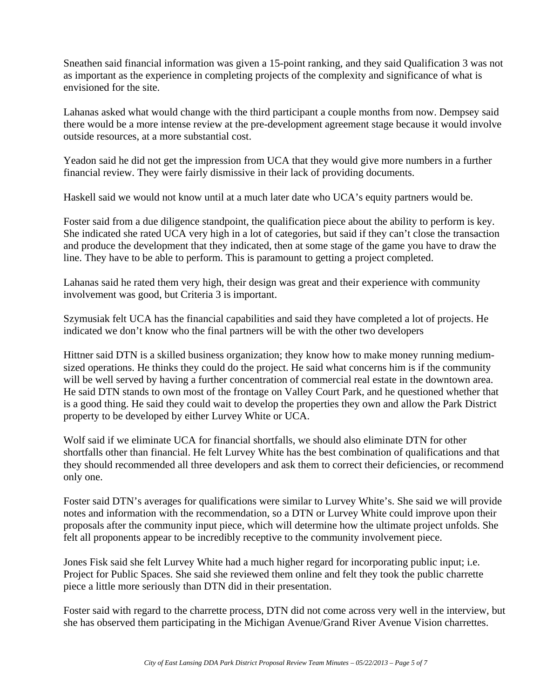Sneathen said financial information was given a 15-point ranking, and they said Qualification 3 was not as important as the experience in completing projects of the complexity and significance of what is envisioned for the site.

Lahanas asked what would change with the third participant a couple months from now. Dempsey said there would be a more intense review at the pre-development agreement stage because it would involve outside resources, at a more substantial cost.

Yeadon said he did not get the impression from UCA that they would give more numbers in a further financial review. They were fairly dismissive in their lack of providing documents.

Haskell said we would not know until at a much later date who UCA's equity partners would be.

Foster said from a due diligence standpoint, the qualification piece about the ability to perform is key. She indicated she rated UCA very high in a lot of categories, but said if they can't close the transaction and produce the development that they indicated, then at some stage of the game you have to draw the line. They have to be able to perform. This is paramount to getting a project completed.

Lahanas said he rated them very high, their design was great and their experience with community involvement was good, but Criteria 3 is important.

Szymusiak felt UCA has the financial capabilities and said they have completed a lot of projects. He indicated we don't know who the final partners will be with the other two developers

Hittner said DTN is a skilled business organization; they know how to make money running mediumsized operations. He thinks they could do the project. He said what concerns him is if the community will be well served by having a further concentration of commercial real estate in the downtown area. He said DTN stands to own most of the frontage on Valley Court Park, and he questioned whether that is a good thing. He said they could wait to develop the properties they own and allow the Park District property to be developed by either Lurvey White or UCA.

Wolf said if we eliminate UCA for financial shortfalls, we should also eliminate DTN for other shortfalls other than financial. He felt Lurvey White has the best combination of qualifications and that they should recommended all three developers and ask them to correct their deficiencies, or recommend only one.

Foster said DTN's averages for qualifications were similar to Lurvey White's. She said we will provide notes and information with the recommendation, so a DTN or Lurvey White could improve upon their proposals after the community input piece, which will determine how the ultimate project unfolds. She felt all proponents appear to be incredibly receptive to the community involvement piece.

Jones Fisk said she felt Lurvey White had a much higher regard for incorporating public input; i.e. Project for Public Spaces. She said she reviewed them online and felt they took the public charrette piece a little more seriously than DTN did in their presentation.

Foster said with regard to the charrette process, DTN did not come across very well in the interview, but she has observed them participating in the Michigan Avenue/Grand River Avenue Vision charrettes.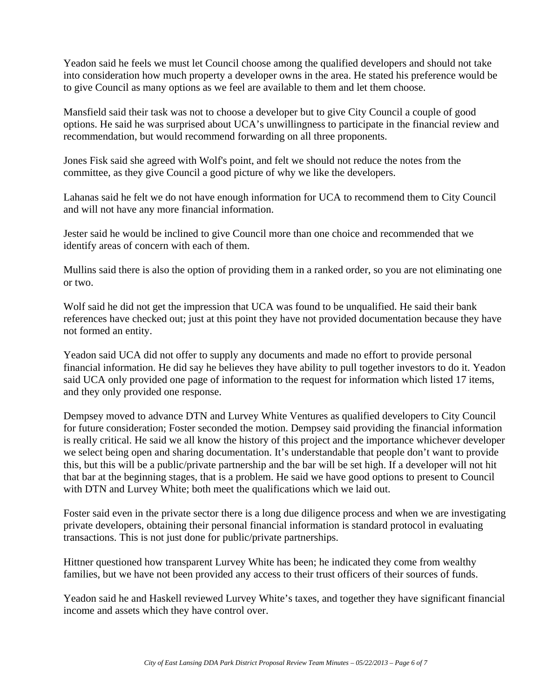Yeadon said he feels we must let Council choose among the qualified developers and should not take into consideration how much property a developer owns in the area. He stated his preference would be to give Council as many options as we feel are available to them and let them choose.

Mansfield said their task was not to choose a developer but to give City Council a couple of good options. He said he was surprised about UCA's unwillingness to participate in the financial review and recommendation, but would recommend forwarding on all three proponents.

Jones Fisk said she agreed with Wolf's point, and felt we should not reduce the notes from the committee, as they give Council a good picture of why we like the developers.

Lahanas said he felt we do not have enough information for UCA to recommend them to City Council and will not have any more financial information.

Jester said he would be inclined to give Council more than one choice and recommended that we identify areas of concern with each of them.

Mullins said there is also the option of providing them in a ranked order, so you are not eliminating one or two.

Wolf said he did not get the impression that UCA was found to be unqualified. He said their bank references have checked out; just at this point they have not provided documentation because they have not formed an entity.

Yeadon said UCA did not offer to supply any documents and made no effort to provide personal financial information. He did say he believes they have ability to pull together investors to do it. Yeadon said UCA only provided one page of information to the request for information which listed 17 items, and they only provided one response.

Dempsey moved to advance DTN and Lurvey White Ventures as qualified developers to City Council for future consideration; Foster seconded the motion. Dempsey said providing the financial information is really critical. He said we all know the history of this project and the importance whichever developer we select being open and sharing documentation. It's understandable that people don't want to provide this, but this will be a public/private partnership and the bar will be set high. If a developer will not hit that bar at the beginning stages, that is a problem. He said we have good options to present to Council with DTN and Lurvey White; both meet the qualifications which we laid out.

Foster said even in the private sector there is a long due diligence process and when we are investigating private developers, obtaining their personal financial information is standard protocol in evaluating transactions. This is not just done for public/private partnerships.

Hittner questioned how transparent Lurvey White has been; he indicated they come from wealthy families, but we have not been provided any access to their trust officers of their sources of funds.

Yeadon said he and Haskell reviewed Lurvey White's taxes, and together they have significant financial income and assets which they have control over.